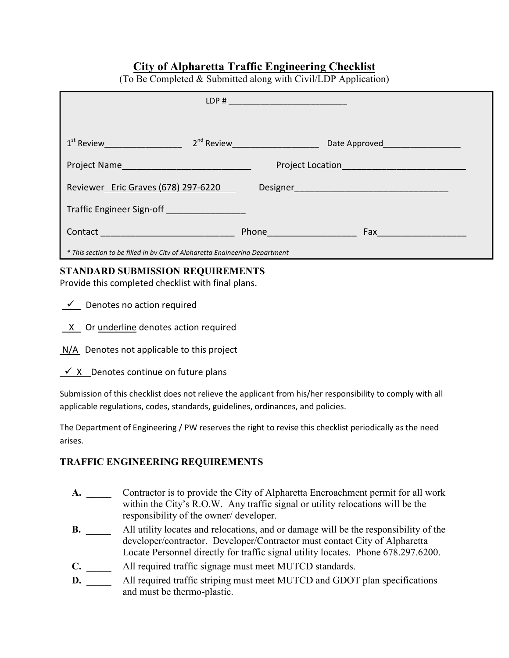## **City of Alpharetta Traffic Engineering Checklist**

| $(10 \text{ BC})$ completed $\alpha$ bubilities arong what $\text{CVM}$ EDT Tippheation                                                                                                                                            |                                   |  |  |
|------------------------------------------------------------------------------------------------------------------------------------------------------------------------------------------------------------------------------------|-----------------------------------|--|--|
|                                                                                                                                                                                                                                    | LDP#                              |  |  |
|                                                                                                                                                                                                                                    |                                   |  |  |
|                                                                                                                                                                                                                                    |                                   |  |  |
| 1 <sup>st</sup> Review <b>Exercise Service Service Structure</b>                                                                                                                                                                   | $2^{nd}$ Review _________________ |  |  |
|                                                                                                                                                                                                                                    |                                   |  |  |
| Project Name                                                                                                                                                                                                                       |                                   |  |  |
|                                                                                                                                                                                                                                    |                                   |  |  |
| Reviewer Eric Graves (678) 297-6220                                                                                                                                                                                                |                                   |  |  |
| <b>Traffic Engineer Sign-off Contract Contract Contract Contract Contract Contract Contract Contract Contract Contract Contract Contract Contract Contract Contract Contract Contract Contract Contract Contract Contract Cont</b> |                                   |  |  |
|                                                                                                                                                                                                                                    |                                   |  |  |
|                                                                                                                                                                                                                                    | Phone <u>and the second</u>       |  |  |
|                                                                                                                                                                                                                                    |                                   |  |  |
| * This section to be filled in by City of Alpharetta Engineering Department                                                                                                                                                        |                                   |  |  |

## $(T_0$  Be Completed & Submitted along with Civil/LDP Application)

## **STANDARD SUBMISSION REQUIREMENTS**

Provide this completed checklist with final plans.

| Denotes no action required |  |
|----------------------------|--|
|                            |  |

- $X$  Or underline denotes action required
- N/A Denotes not applicable to this project
- $\checkmark$  X Denotes continue on future plans

Submission of this checklist does not relieve the applicant from his/her responsibility to comply with all applicable regulations, codes, standards, guidelines, ordinances, and policies.

The Department of Engineering / PW reserves the right to revise this checklist periodically as the need arises.

## **TRAFFIC ENGINEERING REQUIREMENTS**

- **A. \_\_\_\_\_** Contractor is to provide the City of Alpharetta Encroachment permit for all work within the City's R.O.W. Any traffic signal or utility relocations will be the responsibility of the owner/ developer.
- **B. \_\_\_\_\_** All utility locates and relocations, and or damage will be the responsibility of the developer/contractor. Developer/Contractor must contact City of Alpharetta Locate Personnel directly for traffic signal utility locates. Phone 678.297.6200.
- **C. \_\_\_\_\_** All required traffic signage must meet MUTCD standards.
- **D.** All required traffic striping must meet MUTCD and GDOT plan specifications and must be thermo-plastic.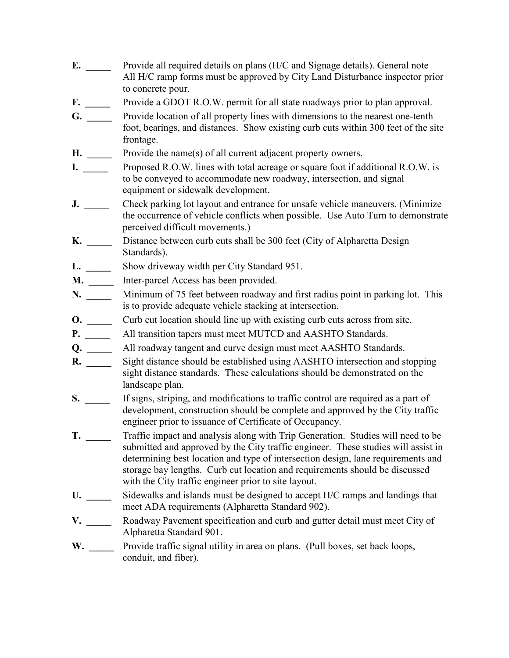- **E.** \_\_\_\_\_\_\_ Provide all required details on plans (H/C and Signage details). General note All H/C ramp forms must be approved by City Land Disturbance inspector prior to concrete pour.
- **F.** \_\_\_\_\_\_\_\_\_ Provide a GDOT R.O.W. permit for all state roadways prior to plan approval.
- **G. \_\_\_\_\_** Provide location of all property lines with dimensions to the nearest one-tenth foot, bearings, and distances. Show existing curb cuts within 300 feet of the site frontage.
- **H.** \_\_\_\_\_\_\_\_ Provide the name(s) of all current adjacent property owners.
- **I. \_\_\_\_\_** Proposed R.O.W. lines with total acreage or square foot if additional R.O.W. is to be conveyed to accommodate new roadway, intersection, and signal equipment or sidewalk development.
- **J.** \_\_\_\_\_\_\_ Check parking lot layout and entrance for unsafe vehicle maneuvers. (Minimize the occurrence of vehicle conflicts when possible. Use Auto Turn to demonstrate perceived difficult movements.)
- **K. \_\_\_\_\_** Distance between curb cuts shall be 300 feet (City of Alpharetta Design Standards).
- **L. \_\_\_\_\_** Show driveway width per City Standard 951.
- **M. \_\_\_\_\_** Inter-parcel Access has been provided.
- **N. \_\_\_\_\_** Minimum of 75 feet between roadway and first radius point in parking lot. This is to provide adequate vehicle stacking at intersection.
- **O.** \_\_\_\_\_\_\_\_ Curb cut location should line up with existing curb cuts across from site.
- **P.** All transition tapers must meet MUTCD and AASHTO Standards.
- **Q. \_\_\_\_\_** All roadway tangent and curve design must meet AASHTO Standards.
- **R. \_\_\_\_\_** Sight distance should be established using AASHTO intersection and stopping sight distance standards. These calculations should be demonstrated on the landscape plan.
- **S.**  $\qquad \qquad$  If signs, striping, and modifications to traffic control are required as a part of development, construction should be complete and approved by the City traffic engineer prior to issuance of Certificate of Occupancy.
- **T.**  $\qquad$  Traffic impact and analysis along with Trip Generation. Studies will need to be submitted and approved by the City traffic engineer. These studies will assist in determining best location and type of intersection design, lane requirements and storage bay lengths. Curb cut location and requirements should be discussed with the City traffic engineer prior to site layout.
- **U. \_\_\_\_\_** Sidewalks and islands must be designed to accept H/C ramps and landings that meet ADA requirements (Alpharetta Standard 902).
- **V. \_\_\_\_\_** Roadway Pavement specification and curb and gutter detail must meet City of Alpharetta Standard 901.
- W. \_\_\_\_\_\_\_\_ Provide traffic signal utility in area on plans. (Pull boxes, set back loops, conduit, and fiber).